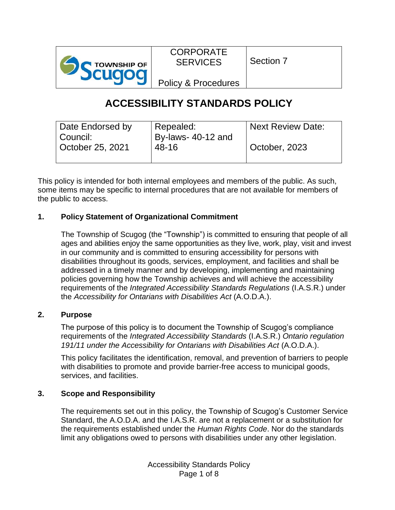

CORPORATE **SERVICES** 

Section 7

Policy & Procedures

# **ACCESSIBILITY STANDARDS POLICY**

| Date Endorsed by             | Repealed:                   | <b>Next Review Date:</b> |
|------------------------------|-----------------------------|--------------------------|
| Council:<br>October 25, 2021 | By-laws- 40-12 and<br>48-16 | October, 2023            |
|                              |                             |                          |

This policy is intended for both internal employees and members of the public. As such, some items may be specific to internal procedures that are not available for members of the public to access.

# **1. Policy Statement of Organizational Commitment**

The Township of Scugog (the "Township") is committed to ensuring that people of all ages and abilities enjoy the same opportunities as they live, work, play, visit and invest in our community and is committed to ensuring accessibility for persons with disabilities throughout its goods, services, employment, and facilities and shall be addressed in a timely manner and by developing, implementing and maintaining policies governing how the Township achieves and will achieve the accessibility requirements of the *Integrated Accessibility Standards Regulations* (I.A.S.R.) under the *Accessibility for Ontarians with Disabilities Act* (A.O.D.A.).

# **2. Purpose**

The purpose of this policy is to document the Township of Scugog's compliance requirements of the *Integrated Accessibility Standards* (I.A.S.R.) *Ontario regulation 191/11 under the Accessibility for Ontarians with Disabilities Act* (A.O.D.A.).

This policy facilitates the identification, removal, and prevention of barriers to people with disabilities to promote and provide barrier-free access to municipal goods, services, and facilities.

# **3. Scope and Responsibility**

The requirements set out in this policy, the Township of Scugog's Customer Service Standard, the A.O.D.A. and the I.A.S.R. are not a replacement or a substitution for the requirements established under the *Human Rights Code*. Nor do the standards limit any obligations owed to persons with disabilities under any other legislation.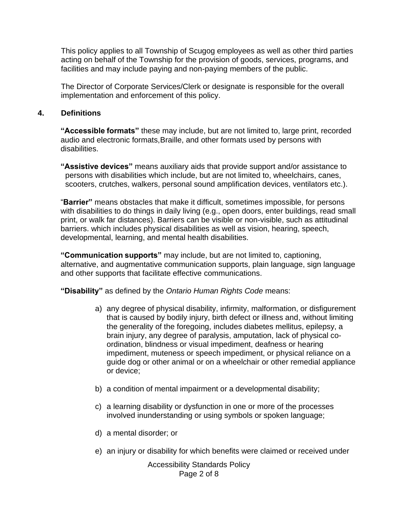This policy applies to all Township of Scugog employees as well as other third parties acting on behalf of the Township for the provision of goods, services, programs, and facilities and may include paying and non-paying members of the public.

The Director of Corporate Services/Clerk or designate is responsible for the overall implementation and enforcement of this policy.

# **4. Definitions**

**"Accessible formats"** these may include, but are not limited to, large print, recorded audio and electronic formats,Braille, and other formats used by persons with disabilities.

**"Assistive devices"** means auxiliary aids that provide support and/or assistance to persons with disabilities which include, but are not limited to, wheelchairs, canes, scooters, crutches, walkers, personal sound amplification devices, ventilators etc.).

"**Barrier"** means obstacles that make it difficult, sometimes impossible, for persons with disabilities to do things in daily living (e.g., open doors, enter buildings, read small print, or walk far distances). Barriers can be visible or non-visible, such as attitudinal barriers. which includes physical disabilities as well as vision, hearing, speech, developmental, learning, and mental health disabilities.

**"Communication supports"** may include, but are not limited to, captioning, alternative, and augmentative communication supports, plain language, sign language and other supports that facilitate effective communications.

**"Disability"** as defined by the *Ontario Human Rights Code* means:

- a) any degree of physical disability, infirmity, malformation, or disfigurement that is caused by bodily injury, birth defect or illness and, without limiting the generality of the foregoing, includes diabetes mellitus, epilepsy, a brain injury, any degree of paralysis, amputation, lack of physical coordination, blindness or visual impediment, deafness or hearing impediment, muteness or speech impediment, or physical reliance on a guide dog or other animal or on a wheelchair or other remedial appliance or device;
- b) a condition of mental impairment or a developmental disability;
- c) a learning disability or dysfunction in one or more of the processes involved inunderstanding or using symbols or spoken language;
- d) a mental disorder; or
- e) an injury or disability for which benefits were claimed or received under

Accessibility Standards Policy Page 2 of 8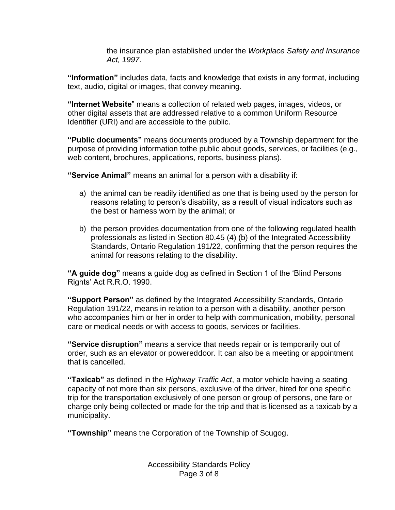the insurance plan established under the *Workplace Safety and Insurance Act, 1997*.

**"Information"** includes data, facts and knowledge that exists in any format, including text, audio, digital or images, that convey meaning.

**"Internet Website**" means a collection of related web pages, images, videos, or other digital assets that are addressed relative to a common Uniform Resource Identifier (URI) and are accessible to the public.

**"Public documents"** means documents produced by a Township department for the purpose of providing information tothe public about goods, services, or facilities (e.g., web content, brochures, applications, reports, business plans).

**"Service Animal"** means an animal for a person with a disability if:

- a) the animal can be readily identified as one that is being used by the person for reasons relating to person's disability, as a result of visual indicators such as the best or harness worn by the animal; or
- b) the person provides documentation from one of the following regulated health professionals as listed in Section 80.45 (4) (b) of the Integrated Accessibility Standards, Ontario Regulation 191/22, confirming that the person requires the animal for reasons relating to the disability.

**"A guide dog"** means a guide dog as defined in Section 1 of the 'Blind Persons Rights' Act R.R.O. 1990.

**"Support Person"** as defined by the Integrated Accessibility Standards, Ontario Regulation 191/22, means in relation to a person with a disability, another person who accompanies him or her in order to help with communication, mobility, personal care or medical needs or with access to goods, services or facilities.

**"Service disruption"** means a service that needs repair or is temporarily out of order, such as an elevator or powereddoor. It can also be a meeting or appointment that is cancelled.

**"Taxicab"** as defined in the *Highway Traffic Act*, a motor vehicle having a seating capacity of not more than six persons, exclusive of the driver, hired for one specific trip for the transportation exclusively of one person or group of persons, one fare or charge only being collected or made for the trip and that is licensed as a taxicab by a municipality.

**"Township"** means the Corporation of the Township of Scugog.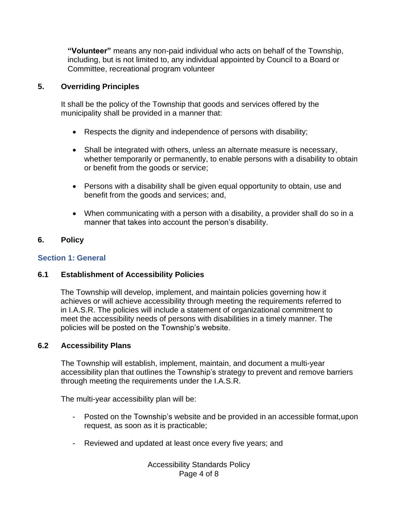**"Volunteer"** means any non-paid individual who acts on behalf of the Township, including, but is not limited to, any individual appointed by Council to a Board or Committee, recreational program volunteer

# **5. Overriding Principles**

It shall be the policy of the Township that goods and services offered by the municipality shall be provided in a manner that:

- Respects the dignity and independence of persons with disability;
- Shall be integrated with others, unless an alternate measure is necessary, whether temporarily or permanently, to enable persons with a disability to obtain or benefit from the goods or service;
- Persons with a disability shall be given equal opportunity to obtain, use and benefit from the goods and services; and,
- When communicating with a person with a disability, a provider shall do so in a manner that takes into account the person's disability.

# **6. Policy**

## **Section 1: General**

## **6.1 Establishment of Accessibility Policies**

The Township will develop, implement, and maintain policies governing how it achieves or will achieve accessibility through meeting the requirements referred to in I.A.S.R. The policies will include a statement of organizational commitment to meet the accessibility needs of persons with disabilities in a timely manner. The policies will be posted on the Township's website.

## **6.2 Accessibility Plans**

The Township will establish, implement, maintain, and document a multi-year accessibility plan that outlines the Township's strategy to prevent and remove barriers through meeting the requirements under the I.A.S.R.

The multi-year accessibility plan will be:

- Posted on the Township's website and be provided in an accessible format,upon request, as soon as it is practicable;
- Reviewed and updated at least once every five years; and

Accessibility Standards Policy Page 4 of 8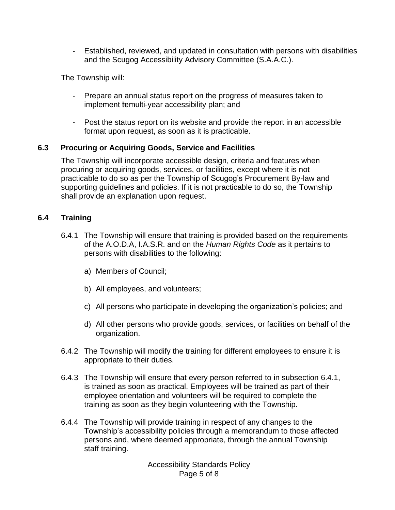- Established, reviewed, and updated in consultation with persons with disabilities and the Scugog Accessibility Advisory Committee (S.A.A.C.).

The Township will:

- Prepare an annual status report on the progress of measures taken to implement temulti-year accessibility plan; and
- Post the status report on its website and provide the report in an accessible format upon request, as soon as it is practicable.

# **6.3 Procuring or Acquiring Goods, Service and Facilities**

The Township will incorporate accessible design, criteria and features when procuring or acquiring goods, services, or facilities, except where it is not practicable to do so as per the Township of Scugog's Procurement By-law and supporting guidelines and policies. If it is not practicable to do so, the Township shall provide an explanation upon request.

# **6.4 Training**

- 6.4.1 The Township will ensure that training is provided based on the requirements of the A.O.D.A, I.A.S.R. and on the *Human Rights Code* as it pertains to persons with disabilities to the following:
	- a) Members of Council;
	- b) All employees, and volunteers;
	- c) All persons who participate in developing the organization's policies; and
	- d) All other persons who provide goods, services, or facilities on behalf of the organization.
- 6.4.2 The Township will modify the training for different employees to ensure it is appropriate to their duties.
- 6.4.3 The Township will ensure that every person referred to in subsection 6.4.1, is trained as soon as practical. Employees will be trained as part of their employee orientation and volunteers will be required to complete the training as soon as they begin volunteering with the Township.
- 6.4.4 The Township will provide training in respect of any changes to the Township's accessibility policies through a memorandum to those affected persons and, where deemed appropriate, through the annual Township staff training.

Accessibility Standards Policy Page 5 of 8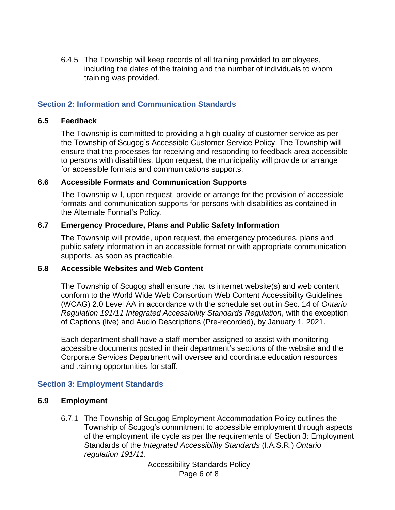6.4.5 The Township will keep records of all training provided to employees, including the dates of the training and the number of individuals to whom training was provided.

## **Section 2: Information and Communication Standards**

#### **6.5 Feedback**

The Township is committed to providing a high quality of customer service as per the Township of Scugog's Accessible Customer Service Policy. The Township will ensure that the processes for receiving and responding to feedback area accessible to persons with disabilities. Upon request, the municipality will provide or arrange for accessible formats and communications supports.

#### **6.6 Accessible Formats and Communication Supports**

The Township will, upon request, provide or arrange for the provision of accessible formats and communication supports for persons with disabilities as contained in the Alternate Format's Policy.

#### **6.7 Emergency Procedure, Plans and Public Safety Information**

The Township will provide, upon request, the emergency procedures, plans and public safety information in an accessible format or with appropriate communication supports, as soon as practicable.

## **6.8 Accessible Websites and Web Content**

The Township of Scugog shall ensure that its internet website(s) and web content conform to the World Wide Web Consortium Web Content Accessibility Guidelines (WCAG) 2.0 Level AA in accordance with the schedule set out in Sec. 14 of *Ontario Regulation 191/11 Integrated Accessibility Standards Regulation*, with the exception of Captions (live) and Audio Descriptions (Pre-recorded), by January 1, 2021.

Each department shall have a staff member assigned to assist with monitoring accessible documents posted in their department's sections of the website and the Corporate Services Department will oversee and coordinate education resources and training opportunities for staff.

## **Section 3: Employment Standards**

## **6.9 Employment**

6.7.1 The Township of Scugog Employment Accommodation Policy outlines the Township of Scugog's commitment to accessible employment through aspects of the employment life cycle as per the requirements of Section 3: Employment Standards of the *Integrated Accessibility Standards* (I.A.S.R.) *Ontario regulation 191/11.*

> Accessibility Standards Policy Page 6 of 8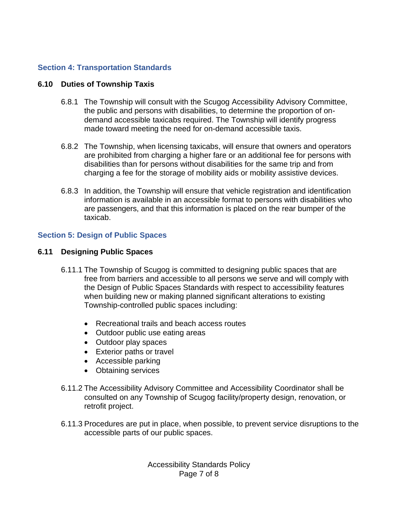# **Section 4: Transportation Standards**

## **6.10 Duties of Township Taxis**

- 6.8.1 The Township will consult with the Scugog Accessibility Advisory Committee, the public and persons with disabilities, to determine the proportion of ondemand accessible taxicabs required. The Township will identify progress made toward meeting the need for on-demand accessible taxis.
- 6.8.2 The Township, when licensing taxicabs, will ensure that owners and operators are prohibited from charging a higher fare or an additional fee for persons with disabilities than for persons without disabilities for the same trip and from charging a fee for the storage of mobility aids or mobility assistive devices.
- 6.8.3 In addition, the Township will ensure that vehicle registration and identification information is available in an accessible format to persons with disabilities who are passengers, and that this information is placed on the rear bumper of the taxicab.

## **Section 5: Design of Public Spaces**

#### **6.11 Designing Public Spaces**

- 6.11.1 The Township of Scugog is committed to designing public spaces that are free from barriers and accessible to all persons we serve and will comply with the Design of Public Spaces Standards with respect to accessibility features when building new or making planned significant alterations to existing Township-controlled public spaces including:
	- Recreational trails and beach access routes
	- Outdoor public use eating areas
	- Outdoor play spaces
	- Exterior paths or travel
	- Accessible parking
	- Obtaining services
- 6.11.2 The Accessibility Advisory Committee and Accessibility Coordinator shall be consulted on any Township of Scugog facility/property design, renovation, or retrofit project.
- 6.11.3 Procedures are put in place, when possible, to prevent service disruptions to the accessible parts of our public spaces.

Accessibility Standards Policy Page 7 of 8